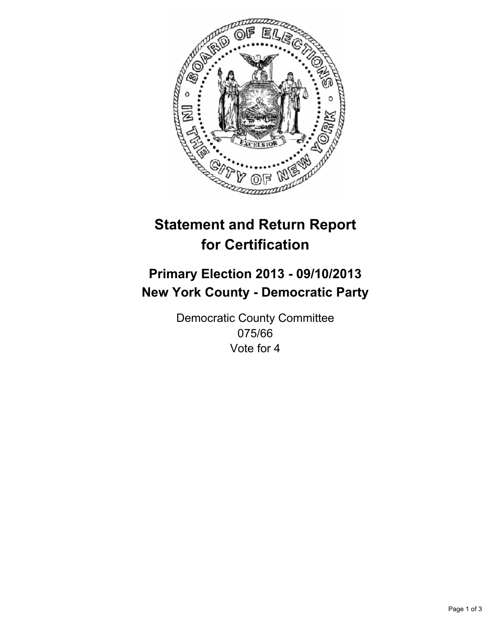

# **Statement and Return Report for Certification**

## **Primary Election 2013 - 09/10/2013 New York County - Democratic Party**

Democratic County Committee 075/66 Vote for 4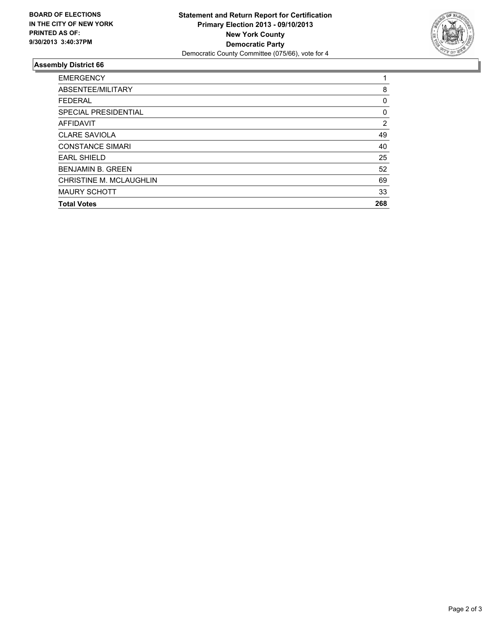

### **Assembly District 66**

| <b>EMERGENCY</b>               |     |
|--------------------------------|-----|
| ABSENTEE/MILITARY              | 8   |
| <b>FEDERAL</b>                 | 0   |
| SPECIAL PRESIDENTIAL           | 0   |
| <b>AFFIDAVIT</b>               | 2   |
| <b>CLARE SAVIOLA</b>           | 49  |
| <b>CONSTANCE SIMARI</b>        | 40  |
| <b>EARL SHIELD</b>             | 25  |
| <b>BENJAMIN B. GREEN</b>       | 52  |
| <b>CHRISTINE M. MCLAUGHLIN</b> | 69  |
| <b>MAURY SCHOTT</b>            | 33  |
| <b>Total Votes</b>             | 268 |